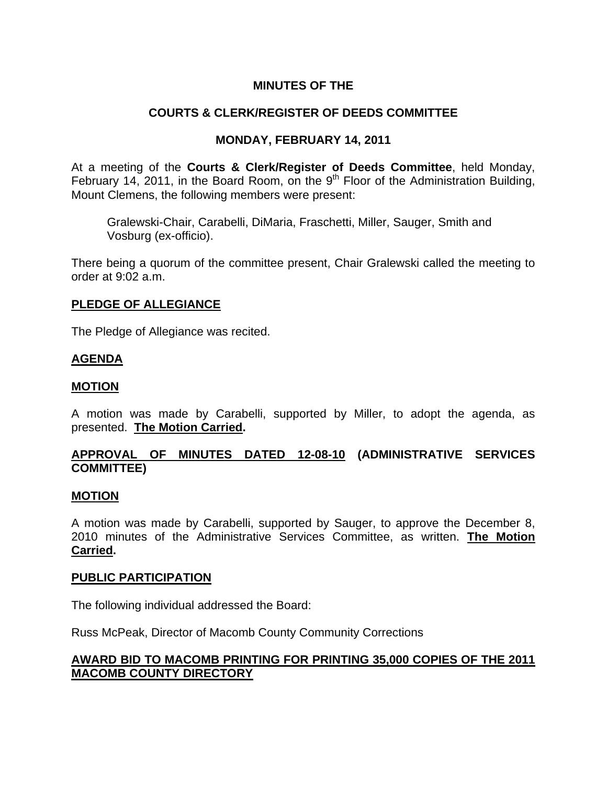# **MINUTES OF THE**

# **COURTS & CLERK/REGISTER OF DEEDS COMMITTEE**

### **MONDAY, FEBRUARY 14, 2011**

At a meeting of the **Courts & Clerk/Register of Deeds Committee**, held Monday, February 14, 2011, in the Board Room, on the  $9<sup>th</sup>$  Floor of the Administration Building, Mount Clemens, the following members were present:

Gralewski-Chair, Carabelli, DiMaria, Fraschetti, Miller, Sauger, Smith and Vosburg (ex-officio).

There being a quorum of the committee present, Chair Gralewski called the meeting to order at 9:02 a.m.

### **PLEDGE OF ALLEGIANCE**

The Pledge of Allegiance was recited.

#### **AGENDA**

### **MOTION**

A motion was made by Carabelli, supported by Miller, to adopt the agenda, as presented. **The Motion Carried.** 

# **APPROVAL OF MINUTES DATED 12-08-10 (ADMINISTRATIVE SERVICES COMMITTEE)**

#### **MOTION**

A motion was made by Carabelli, supported by Sauger, to approve the December 8, 2010 minutes of the Administrative Services Committee, as written. **The Motion Carried.** 

#### **PUBLIC PARTICIPATION**

The following individual addressed the Board:

Russ McPeak, Director of Macomb County Community Corrections

# **AWARD BID TO MACOMB PRINTING FOR PRINTING 35,000 COPIES OF THE 2011 MACOMB COUNTY DIRECTORY**